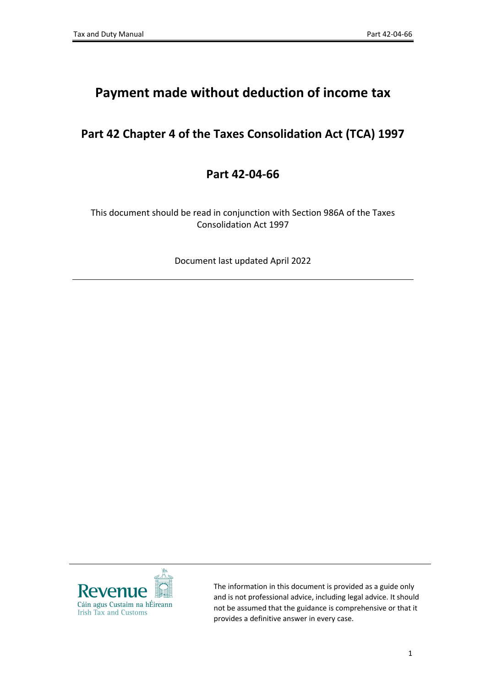# **Payment made without deduction of income tax**

# **Part 42 Chapter 4 of the Taxes Consolidation Act (TCA) 1997**

## **Part 42-04-66**

This document should be read in conjunction with Section 986A of the Taxes Consolidation Act 1997

Document last updated April 2022



The information in this document is provided as a guide only and is not professional advice, including legal advice. It should not be assumed that the guidance is comprehensive or that it provides a definitive answer in every case.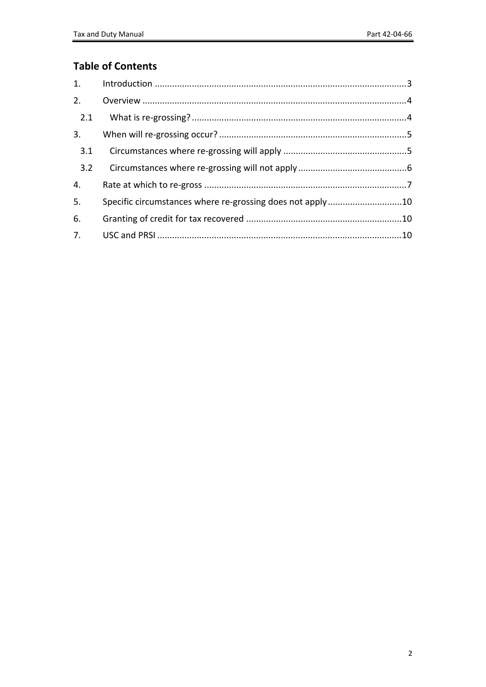## **Table of Contents**

| 2.  |                                                           |  |
|-----|-----------------------------------------------------------|--|
| 2.1 |                                                           |  |
| 3.  |                                                           |  |
| 3.1 |                                                           |  |
| 3.2 |                                                           |  |
| 4.  |                                                           |  |
| 5.  | Specific circumstances where re-grossing does not apply10 |  |
| 6.  |                                                           |  |
|     |                                                           |  |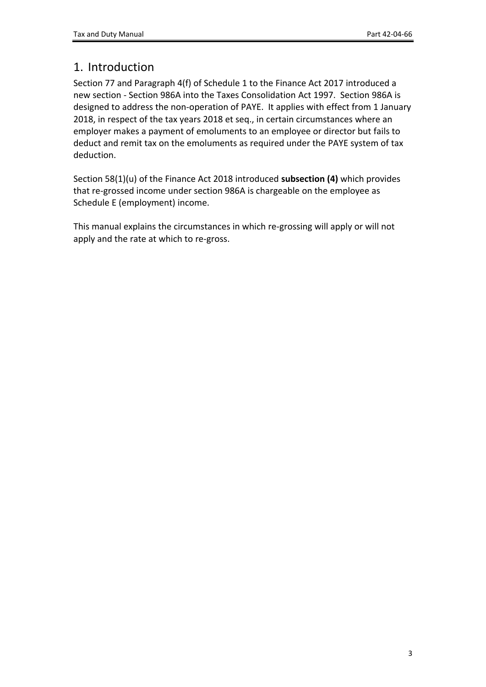# <span id="page-2-0"></span>1. Introduction

Section 77 and Paragraph 4(f) of Schedule 1 to the Finance Act 2017 introduced a new section - Section 986A into the Taxes Consolidation Act 1997. Section 986A is designed to address the non-operation of PAYE. It applies with effect from 1 January 2018, in respect of the tax years 2018 et seq., in certain circumstances where an employer makes a payment of emoluments to an employee or director but fails to deduct and remit tax on the emoluments as required under the PAYE system of tax deduction.

Section 58(1)(u) of the Finance Act 2018 introduced **subsection (4)** which provides that re-grossed income under section 986A is chargeable on the employee as Schedule E (employment) income.

This manual explains the circumstances in which re-grossing will apply or will not apply and the rate at which to re-gross.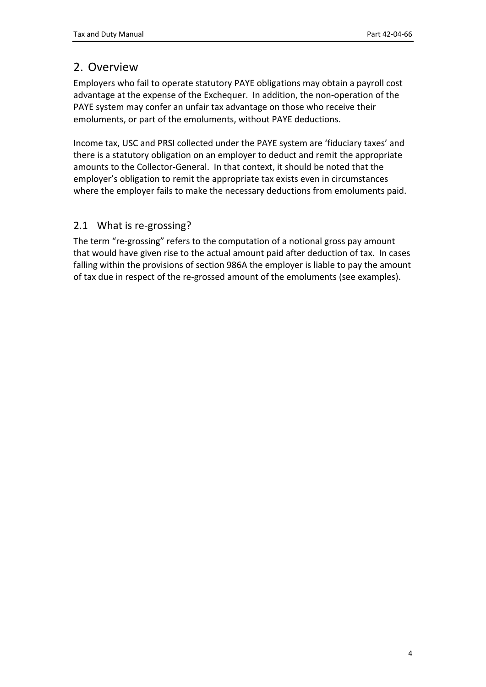# <span id="page-3-0"></span>2. Overview

Employers who fail to operate statutory PAYE obligations may obtain a payroll cost advantage at the expense of the Exchequer. In addition, the non-operation of the PAYE system may confer an unfair tax advantage on those who receive their emoluments, or part of the emoluments, without PAYE deductions.

Income tax, USC and PRSI collected under the PAYE system are 'fiduciary taxes' and there is a statutory obligation on an employer to deduct and remit the appropriate amounts to the Collector-General. In that context, it should be noted that the employer's obligation to remit the appropriate tax exists even in circumstances where the employer fails to make the necessary deductions from emoluments paid.

## <span id="page-3-1"></span>2.1 What is re-grossing?

The term "re-grossing" refers to the computation of a notional gross pay amount that would have given rise to the actual amount paid after deduction of tax. In cases falling within the provisions of section 986A the employer is liable to pay the amount of tax due in respect of the re-grossed amount of the emoluments (see examples).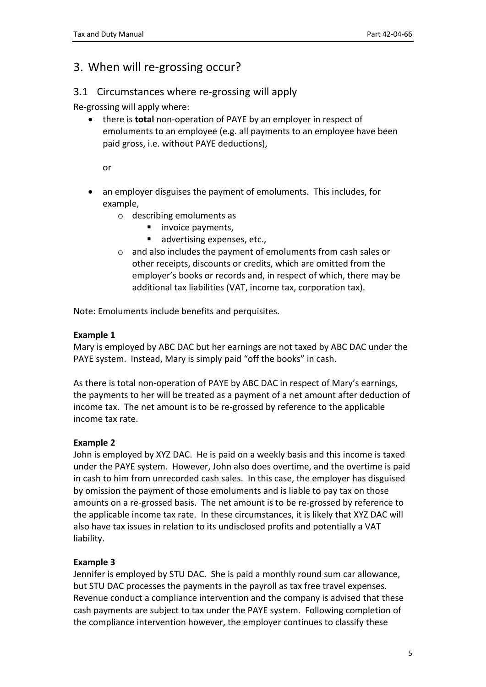# <span id="page-4-0"></span>3. When will re-grossing occur?

## <span id="page-4-1"></span>3.1 Circumstances where re-grossing will apply

Re-grossing will apply where:

 there is **total** non-operation of PAYE by an employer in respect of emoluments to an employee (e.g. all payments to an employee have been paid gross, i.e. without PAYE deductions),

or

- an employer disguises the payment of emoluments. This includes, for example,
	- o describing emoluments as
		- invoice payments,
		- advertising expenses, etc.,
	- o and also includes the payment of emoluments from cash sales or other receipts, discounts or credits, which are omitted from the employer's books or records and, in respect of which, there may be additional tax liabilities (VAT, income tax, corporation tax).

Note: Emoluments include benefits and perquisites.

#### **Example 1**

Mary is employed by ABC DAC but her earnings are not taxed by ABC DAC under the PAYE system. Instead, Mary is simply paid "off the books" in cash.

As there is total non-operation of PAYE by ABC DAC in respect of Mary's earnings, the payments to her will be treated as a payment of a net amount after deduction of income tax. The net amount is to be re-grossed by reference to the applicable income tax rate.

### **Example 2**

John is employed by XYZ DAC. He is paid on a weekly basis and this income is taxed under the PAYE system. However, John also does overtime, and the overtime is paid in cash to him from unrecorded cash sales. In this case, the employer has disguised by omission the payment of those emoluments and is liable to pay tax on those amounts on a re-grossed basis. The net amount is to be re-grossed by reference to the applicable income tax rate. In these circumstances, it is likely that XYZ DAC will also have tax issues in relation to its undisclosed profits and potentially a VAT liability.

### **Example 3**

Jennifer is employed by STU DAC. She is paid a monthly round sum car allowance, but STU DAC processes the payments in the payroll as tax free travel expenses. Revenue conduct a compliance intervention and the company is advised that these cash payments are subject to tax under the PAYE system. Following completion of the compliance intervention however, the employer continues to classify these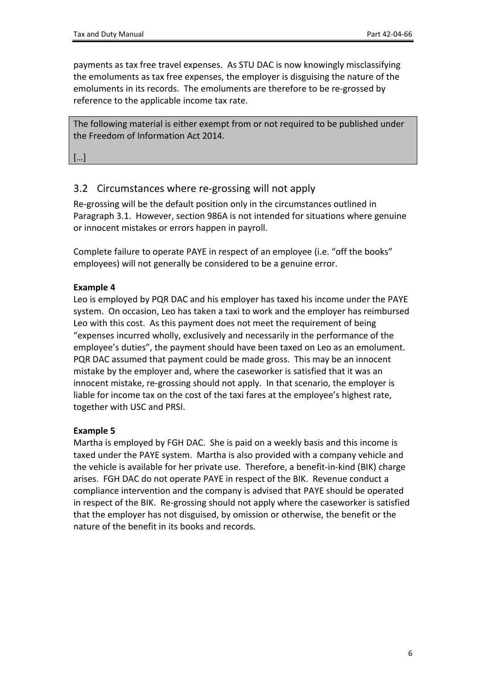payments as tax free travel expenses. As STU DAC is now knowingly misclassifying the emoluments as tax free expenses, the employer is disguising the nature of the emoluments in its records. The emoluments are therefore to be re-grossed by reference to the applicable income tax rate.

The following material is either exempt from or not required to be published under the Freedom of Information Act 2014.

[…]

## <span id="page-5-0"></span>3.2 Circumstances where re-grossing will not apply

Re-grossing will be the default position only in the circumstances outlined in Paragraph 3.1. However, section 986A is not intended for situations where genuine or innocent mistakes or errors happen in payroll.

Complete failure to operate PAYE in respect of an employee (i.e. "off the books" employees) will not generally be considered to be a genuine error.

#### **Example 4**

Leo is employed by PQR DAC and his employer has taxed his income under the PAYE system. On occasion, Leo has taken a taxi to work and the employer has reimbursed Leo with this cost. As this payment does not meet the requirement of being "expenses incurred wholly, exclusively and necessarily in the performance of the employee's duties", the payment should have been taxed on Leo as an emolument. PQR DAC assumed that payment could be made gross. This may be an innocent mistake by the employer and, where the caseworker is satisfied that it was an innocent mistake, re-grossing should not apply. In that scenario, the employer is liable for income tax on the cost of the taxi fares at the employee's highest rate, together with USC and PRSI.

#### **Example 5**

Martha is employed by FGH DAC. She is paid on a weekly basis and this income is taxed under the PAYE system. Martha is also provided with a company vehicle and the vehicle is available for her private use. Therefore, a benefit-in-kind (BIK) charge arises. FGH DAC do not operate PAYE in respect of the BIK. Revenue conduct a compliance intervention and the company is advised that PAYE should be operated in respect of the BIK. Re-grossing should not apply where the caseworker is satisfied that the employer has not disguised, by omission or otherwise, the benefit or the nature of the benefit in its books and records.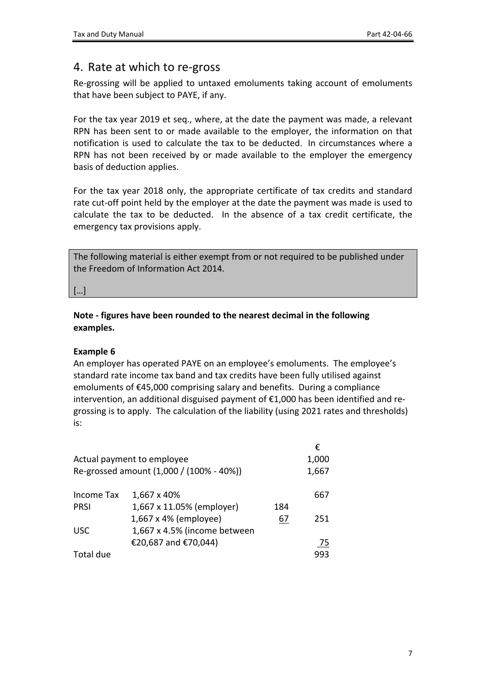## <span id="page-6-0"></span>4. Rate at which to re-gross

Re-grossing will be applied to untaxed emoluments taking account of emoluments that have been subject to PAYE, if any.

For the tax year 2019 et seq., where, at the date the payment was made, a relevant RPN has been sent to or made available to the employer, the information on that notification is used to calculate the tax to be deducted. In circumstances where a RPN has not been received by or made available to the employer the emergency basis of deduction applies.

For the tax year 2018 only, the appropriate certificate of tax credits and standard rate cut-off point held by the employer at the date the payment was made is used to calculate the tax to be deducted. In the absence of a tax credit certificate, the emergency tax provisions apply.

The following material is either exempt from or not required to be published under the Freedom of Information Act 2014.

[…]

**Note - figures have been rounded to the nearest decimal in the following examples.**

#### **Example 6**

An employer has operated PAYE on an employee's emoluments. The employee's standard rate income tax band and tax credits have been fully utilised against emoluments of €45,000 comprising salary and benefits. During a compliance intervention, an additional disguised payment of €1,000 has been identified and regrossing is to apply. The calculation of the liability (using 2021 rates and thresholds) is:

|                                          |                              |     | €     |
|------------------------------------------|------------------------------|-----|-------|
| Actual payment to employee               |                              |     |       |
| Re-grossed amount (1,000 / (100% - 40%)) |                              |     | 1,667 |
| Income Tax                               | 1,667 x 40%                  |     | 667   |
| <b>PRSI</b>                              | 1,667 x 11.05% (employer)    | 184 |       |
|                                          | 1,667 x 4% (employee)        | 67  | 251   |
| <b>USC</b>                               | 1,667 x 4.5% (income between |     |       |
|                                          | €20,687 and €70,044)         |     | 75    |
| Total due                                |                              |     | 993   |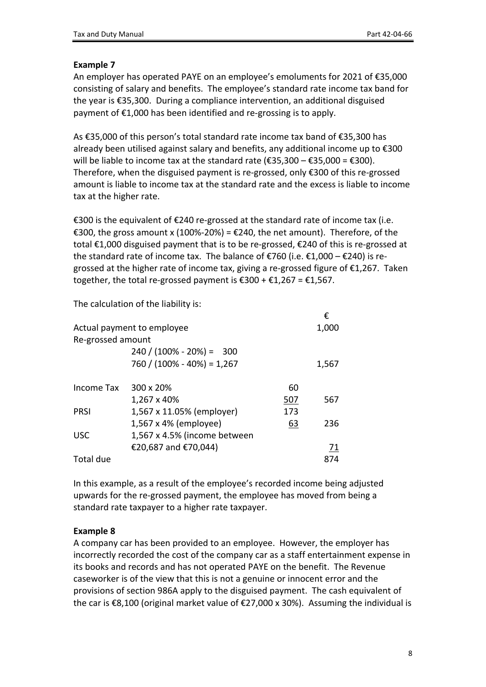#### **Example 7**

An employer has operated PAYE on an employee's emoluments for 2021 of €35,000 consisting of salary and benefits. The employee's standard rate income tax band for the year is €35,300. During a compliance intervention, an additional disguised payment of €1,000 has been identified and re-grossing is to apply.

As €35,000 of this person's total standard rate income tax band of €35,300 has already been utilised against salary and benefits, any additional income up to €300 will be liable to income tax at the standard rate (€35,300 – €35,000 = €300). Therefore, when the disguised payment is re-grossed, only €300 of this re-grossed amount is liable to income tax at the standard rate and the excess is liable to income tax at the higher rate.

€300 is the equivalent of €240 re-grossed at the standard rate of income tax (i.e. €300, the gross amount x (100%-20%) = €240, the net amount). Therefore, of the total €1,000 disguised payment that is to be re-grossed, €240 of this is re-grossed at the standard rate of income tax. The balance of  $\epsilon$ 760 (i.e.  $\epsilon$ 1,000 –  $\epsilon$ 240) is regrossed at the higher rate of income tax, giving a re-grossed figure of €1,267. Taken together, the total re-grossed payment is  $\text{\textsterling}300 + \text{\textsterling}1,267 = \text{\textsterling}1,567$ .

€

The calculation of the liability is:

|                            |                                |     | t     |  |  |
|----------------------------|--------------------------------|-----|-------|--|--|
| Actual payment to employee |                                |     |       |  |  |
| Re-grossed amount          |                                |     |       |  |  |
|                            | $240 / (100\% - 20\%) = 300$   |     |       |  |  |
|                            | $760 / (100\% - 40\%) = 1,267$ |     | 1,567 |  |  |
| Income Tax                 | 300 x 20%                      | 60  |       |  |  |
|                            | 1,267 x 40%                    | 507 | 567   |  |  |
| <b>PRSI</b>                | 1,567 x 11.05% (employer)      | 173 |       |  |  |
|                            | 1,567 x 4% (employee)          | 63  | 236   |  |  |
| <b>USC</b>                 | 1,567 x 4.5% (income between   |     |       |  |  |
|                            | €20,687 and €70,044)           |     | 71    |  |  |
| Total due                  |                                |     | 874   |  |  |

In this example, as a result of the employee's recorded income being adjusted upwards for the re-grossed payment, the employee has moved from being a standard rate taxpayer to a higher rate taxpayer.

### **Example 8**

A company car has been provided to an employee. However, the employer has incorrectly recorded the cost of the company car as a staff entertainment expense in its books and records and has not operated PAYE on the benefit. The Revenue caseworker is of the view that this is not a genuine or innocent error and the provisions of section 986A apply to the disguised payment. The cash equivalent of the car is €8,100 (original market value of €27,000 x 30%). Assuming the individual is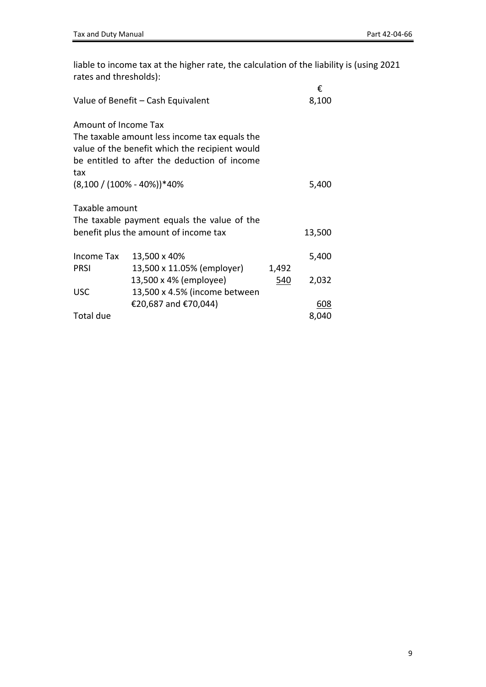liable to income tax at the higher rate, the calculation of the liability is (using 2021 rates and thresholds):

|                                  | Value of Benefit - Cash Equivalent                                                                                                              |       | €<br>8,100          |
|----------------------------------|-------------------------------------------------------------------------------------------------------------------------------------------------|-------|---------------------|
| Amount of Income Tax<br>tax      | The taxable amount less income tax equals the<br>value of the benefit which the recipient would<br>be entitled to after the deduction of income |       |                     |
| $(8,100 / (100\% - 40\%))^*40\%$ |                                                                                                                                                 |       | 5,400               |
| Taxable amount                   | The taxable payment equals the value of the<br>benefit plus the amount of income tax                                                            |       | 13,500              |
| Income Tax<br><b>PRSI</b>        | 13,500 x 40%<br>13,500 x 11.05% (employer)                                                                                                      | 1,492 | 5,400               |
| <b>USC</b>                       | 13,500 x 4% (employee)<br>13,500 x 4.5% (income between                                                                                         | 540   | 2,032               |
| Total due                        | €20,687 and €70,044)                                                                                                                            |       | <u>608</u><br>8,040 |